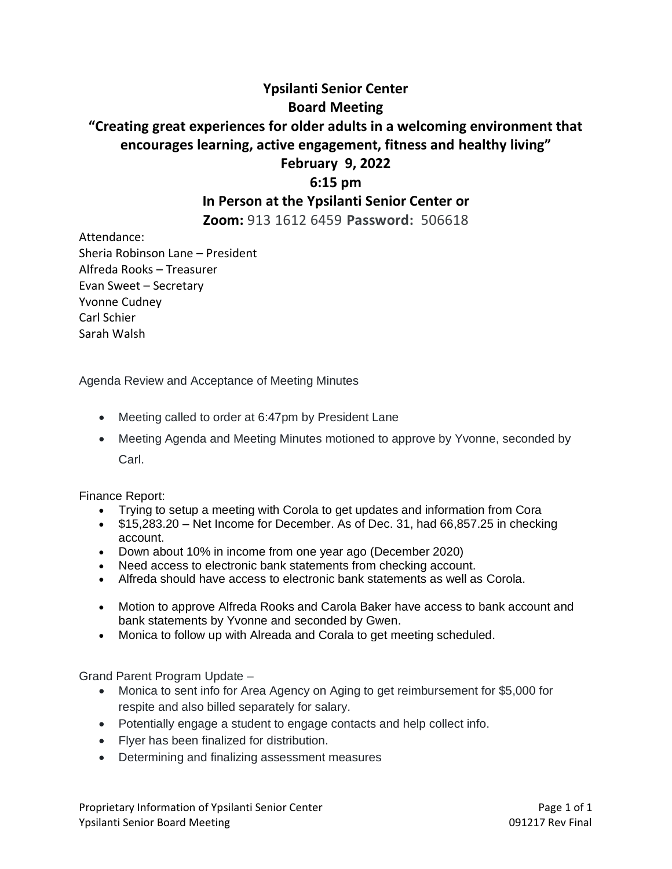## **Ypsilanti Senior Center Board Meeting "Creating great experiences for older adults in a welcoming environment that encourages learning, active engagement, fitness and healthy living" February 9, 2022**

## **6:15 pm In Person at the Ypsilanti Senior Center or**

**Zoom:** 913 1612 6459 **Password:** 506618

Attendance: Sheria Robinson Lane – President Alfreda Rooks – Treasurer Evan Sweet – Secretary Yvonne Cudney Carl Schier Sarah Walsh

Agenda Review and Acceptance of Meeting Minutes

- Meeting called to order at 6:47pm by President Lane
- Meeting Agenda and Meeting Minutes motioned to approve by Yvonne, seconded by Carl.

Finance Report:

- Trying to setup a meeting with Corola to get updates and information from Cora
- \$15,283.20 Net Income for December. As of Dec. 31, had 66,857.25 in checking account.
- Down about 10% in income from one year ago (December 2020)
- Need access to electronic bank statements from checking account.
- Alfreda should have access to electronic bank statements as well as Corola.
- Motion to approve Alfreda Rooks and Carola Baker have access to bank account and bank statements by Yvonne and seconded by Gwen.
- Monica to follow up with Alreada and Corala to get meeting scheduled.

Grand Parent Program Update –

- Monica to sent info for Area Agency on Aging to get reimbursement for \$5,000 for respite and also billed separately for salary.
- Potentially engage a student to engage contacts and help collect info.
- Flyer has been finalized for distribution.
- Determining and finalizing assessment measures